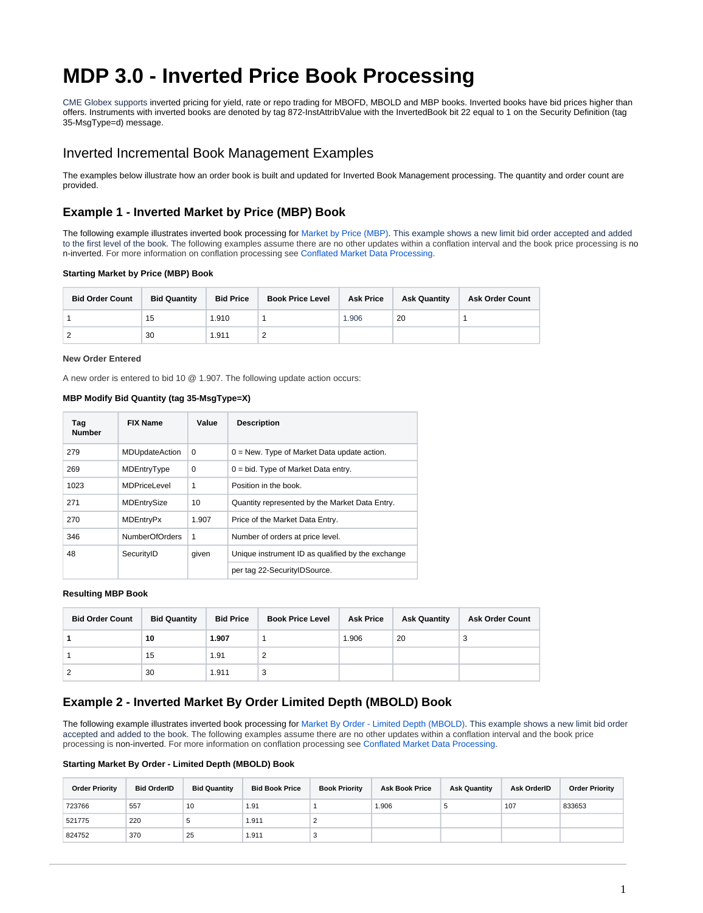# **MDP 3.0 - Inverted Price Book Processing**

CME Globex supports inverted pricing for yield, rate or repo trading for MBOFD, MBOLD and MBP books. Inverted books have bid prices higher than offers. Instruments with inverted books are denoted by tag 872-InstAttribValue with the InvertedBook bit 22 equal to 1 on the Security Definition (tag 35-MsgType=d) message.

# Inverted Incremental Book Management Examples

The examples below illustrate how an order book is built and updated for Inverted Book Management processing. The quantity and order count are provided.

# **Example 1 - Inverted Market by Price (MBP) Book**

The following example illustrates inverted book processing for [Market by Price \(MBP\).](https://www.cmegroup.com/confluence/display/EPICSANDBOX/MDP+3.0+-+Market+by+Price+-+Multiple+Depth+Book) This example shows a new limit bid order accepted and added to the first level of the book. The following examples assume there are no other updates within a conflation interval and the book price processing is no n-inverted. For more information on conflation processing see [Conflated Market Data Processing](https://www.cmegroup.com/confluence/display/EPICSANDBOX/MDP+3.0+-+Conflation+Processing).

## **Starting Market by Price (MBP) Book**

| <b>Bid Order Count</b> | <b>Bid Quantity</b> | <b>Bid Price</b> | <b>Book Price Level</b> | <b>Ask Price</b> | <b>Ask Quantity</b> | <b>Ask Order Count</b> |
|------------------------|---------------------|------------------|-------------------------|------------------|---------------------|------------------------|
|                        | 15                  | 1.910            |                         | 1.906            | 20                  |                        |
|                        | 30                  | 1.911            |                         |                  |                     |                        |

#### **New Order Entered**

A new order is entered to bid 10 @ 1.907. The following update action occurs:

## **MBP Modify Bid Quantity (tag 35-MsgType=X)**

| Tag<br><b>Number</b> | <b>FIX Name</b>       | Value        | <b>Description</b>                                |
|----------------------|-----------------------|--------------|---------------------------------------------------|
| 279                  | <b>MDUpdateAction</b> | $\Omega$     | $0 =$ New. Type of Market Data update action.     |
| 269                  | MDEntryType           | $\Omega$     | $0 = bid$ . Type of Market Data entry.            |
| 1023                 | <b>MDPriceLevel</b>   | $\mathbf{1}$ | Position in the book.                             |
| 271                  | MDEntrySize           | 10           | Quantity represented by the Market Data Entry.    |
| 270                  | <b>MDEntryPx</b>      | 1.907        | Price of the Market Data Entry.                   |
| 346                  | NumberOfOrders        | 1            | Number of orders at price level.                  |
| 48                   | SecurityID            | given        | Unique instrument ID as qualified by the exchange |
|                      |                       |              | per tag 22-SecurityIDSource.                      |

#### **Resulting MBP Book**

| <b>Bid Order Count</b> | <b>Bid Quantity</b> | <b>Bid Price</b> | <b>Book Price Level</b> | <b>Ask Price</b> | <b>Ask Quantity</b> | <b>Ask Order Count</b> |
|------------------------|---------------------|------------------|-------------------------|------------------|---------------------|------------------------|
|                        | 10                  | 1.907            |                         | 1.906            | 20                  | 3                      |
|                        | 15                  | 1.91             |                         |                  |                     |                        |
|                        | 30                  | 1.911            | 3                       |                  |                     |                        |

# **Example 2 - Inverted Market By Order Limited Depth (MBOLD) Book**

The following example illustrates inverted book processing for [Market By Order - Limited Depth \(MBOLD\)](https://www.cmegroup.com/confluence/display/EPICSANDBOX/MDP+3.0+-+Market+By+Order+Limited+Depth+Book+Processing). This example shows a new limit bid order accepted and added to the book. The following examples assume there are no other updates within a conflation interval and the book price processing is non-inverted. For more information on conflation processing see [Conflated Market Data Processing](https://www.cmegroup.com/confluence/display/EPICSANDBOX/MDP+3.0+-+Conflation+Processing).

### **Starting Market By Order - Limited Depth (MBOLD) Book**

| <b>Order Priority</b> | <b>Bid OrderID</b> | <b>Bid Quantity</b> | <b>Bid Book Price</b> | <b>Book Priority</b> | <b>Ask Book Price</b> | <b>Ask Quantity</b> | Ask OrderID | <b>Order Priority</b> |
|-----------------------|--------------------|---------------------|-----------------------|----------------------|-----------------------|---------------------|-------------|-----------------------|
| 723766                | 557                | 10                  | 1.91                  |                      | 1.906                 |                     | 107         | 833653                |
| 521775                | 220                | 5                   | 1.911                 |                      |                       |                     |             |                       |
| 824752                | 370                | 25                  | 1.911                 |                      |                       |                     |             |                       |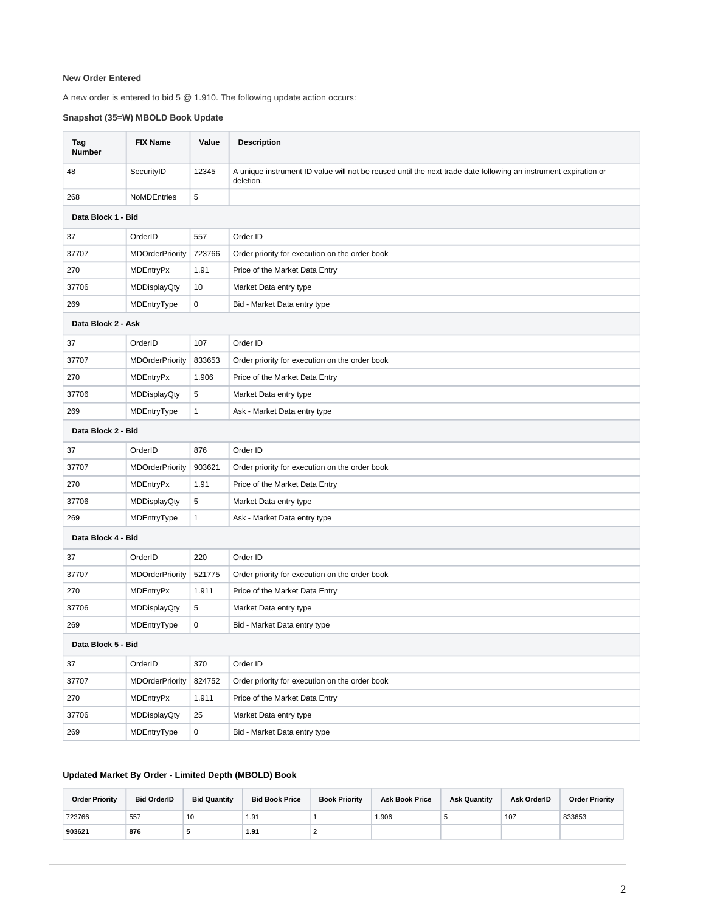## **New Order Entered**

A new order is entered to bid 5 @ 1.910. The following update action occurs:

# **Snapshot (35=W) MBOLD Book Update**

| Tag<br><b>Number</b> | <b>FIX Name</b>        | Value        | <b>Description</b>                                                                                                           |
|----------------------|------------------------|--------------|------------------------------------------------------------------------------------------------------------------------------|
| 48                   | SecurityID             | 12345        | A unique instrument ID value will not be reused until the next trade date following an instrument expiration or<br>deletion. |
| 268                  | <b>NoMDEntries</b>     | 5            |                                                                                                                              |
| Data Block 1 - Bid   |                        |              |                                                                                                                              |
| 37                   | OrderID                | 557          | Order ID                                                                                                                     |
| 37707                | <b>MDOrderPriority</b> | 723766       | Order priority for execution on the order book                                                                               |
| 270                  | MDEntryPx              | 1.91         | Price of the Market Data Entry                                                                                               |
| 37706                | <b>MDDisplayQty</b>    | 10           | Market Data entry type                                                                                                       |
| 269                  | MDEntryType            | $\mathbf 0$  | Bid - Market Data entry type                                                                                                 |
| Data Block 2 - Ask   |                        |              |                                                                                                                              |
| 37                   | OrderID                | 107          | Order ID                                                                                                                     |
| 37707                | <b>MDOrderPriority</b> | 833653       | Order priority for execution on the order book                                                                               |
| 270                  | MDEntryPx              | 1.906        | Price of the Market Data Entry                                                                                               |
| 37706                | MDDisplayQty           | 5            | Market Data entry type                                                                                                       |
| 269                  | MDEntryType            | $\mathbf{1}$ | Ask - Market Data entry type                                                                                                 |
| Data Block 2 - Bid   |                        |              |                                                                                                                              |
| 37                   | OrderID                | 876          | Order ID                                                                                                                     |
| 37707                | <b>MDOrderPriority</b> | 903621       | Order priority for execution on the order book                                                                               |
| 270                  | MDEntryPx              | 1.91         | Price of the Market Data Entry                                                                                               |
| 37706                | <b>MDDisplayQty</b>    | 5            | Market Data entry type                                                                                                       |
| 269                  | MDEntryType            | 1            | Ask - Market Data entry type                                                                                                 |
| Data Block 4 - Bid   |                        |              |                                                                                                                              |
| 37                   | OrderID                | 220          | Order ID                                                                                                                     |
| 37707                | <b>MDOrderPriority</b> | 521775       | Order priority for execution on the order book                                                                               |
| 270                  | <b>MDEntryPx</b>       | 1.911        | Price of the Market Data Entry                                                                                               |
| 37706                | MDDisplayQty           | 5            | Market Data entry type                                                                                                       |
| 269                  | MDEntryType            | 0            | Bid - Market Data entry type                                                                                                 |
| Data Block 5 - Bid   |                        |              |                                                                                                                              |
| 37                   | OrderID                | 370          | Order ID                                                                                                                     |
| 37707                | <b>MDOrderPriority</b> | 824752       | Order priority for execution on the order book                                                                               |
| 270                  | <b>MDEntryPx</b>       | 1.911        | Price of the Market Data Entry                                                                                               |
| 37706                | <b>MDDisplayQty</b>    | 25           | Market Data entry type                                                                                                       |
| 269                  | MDEntryType            | 0            | Bid - Market Data entry type                                                                                                 |

# **Updated Market By Order - Limited Depth (MBOLD) Book**

| <b>Order Priority</b> | <b>Bid OrderID</b> | <b>Bid Quantity</b> | <b>Bid Book Price</b> | <b>Book Priority</b> | <b>Ask Book Price</b> | <b>Ask Quantity</b> | <b>Ask OrderID</b> | <b>Order Priority</b> |
|-----------------------|--------------------|---------------------|-----------------------|----------------------|-----------------------|---------------------|--------------------|-----------------------|
| 723766                | 557                | 10                  | 1.91                  |                      | 1.906                 |                     | 107                | 833653                |
| 903621                | 876                |                     | 1.91                  |                      |                       |                     |                    |                       |